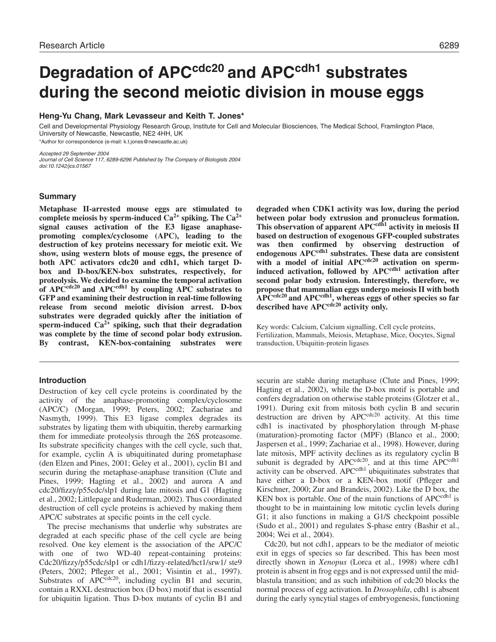# Degradation of APC<sup>cdc20</sup> and APC<sup>cdh1</sup> substrates **during the second meiotic division in mouse eggs**

# **Heng-Yu Chang, Mark Levasseur and Keith T. Jones\***

Cell and Developmental Physiology Research Group, Institute for Cell and Molecular Biosciences, The Medical School, Framlington Place, University of Newcastle, Newcastle, NE2 4HH, UK \*Author for correspondence (e-mail: k.t.jones@newcastle.ac.uk)

Accepted 29 September 2004 Journal of Cell Science 117, 6289-6296 Published by The Company of Biologists 2004 doi:10.1242/jcs.01567

# **Summary**

**Metaphase II-arrested mouse eggs are stimulated to** complete meiosis by sperm-induced  $Ca^{2+}$  spiking. The  $Ca^{2+}$ **signal causes activation of the E3 ligase anaphasepromoting complex/cyclosome (APC), leading to the destruction of key proteins necessary for meiotic exit. We show, using western blots of mouse eggs, the presence of both APC activators cdc20 and cdh1, which target Dbox and D-box/KEN-box substrates, respectively, for proteolysis. We decided to examine the temporal activation** of APC<sup>cdc20</sup> and APC<sup>cdh1</sup> by coupling APC substrates to **GFP and examining their destruction in real-time following release from second meiotic division arrest. D-box substrates were degraded quickly after the initiation of** sperm-induced  $Ca^{2+}$  spiking, such that their degradation **was complete by the time of second polar body extrusion. By contrast, KEN-box-containing substrates were**

## **Introduction**

Destruction of key cell cycle proteins is coordinated by the activity of the anaphase-promoting complex/cyclosome (APC/C) (Morgan, 1999; Peters, 2002; Zachariae and Nasmyth, 1999). This E3 ligase complex degrades its substrates by ligating them with ubiquitin, thereby earmarking them for immediate proteolysis through the 26S proteasome. Its substrate specificity changes with the cell cycle, such that, for example, cyclin A is ubiquitinated during prometaphase (den Elzen and Pines, 2001; Geley et al., 2001), cyclin B1 and securin during the metaphase-anaphase transition (Clute and Pines, 1999; Hagting et al., 2002) and aurora A and cdc20/fizzy/p55cdc/slp1 during late mitosis and G1 (Hagting et al., 2002; Littlepage and Ruderman, 2002). Thus coordinated destruction of cell cycle proteins is achieved by making them APC/C substrates at specific points in the cell cycle.

The precise mechanisms that underlie why substrates are degraded at each specific phase of the cell cycle are being resolved. One key element is the association of the APC/C with one of two WD-40 repeat-containing proteins: Cdc20/fizzy/p55cdc/slp1 or cdh1/fizzy-related/hct1/srw1/ ste9 (Peters, 2002; Pfleger et al., 2001; Visintin et al., 1997). Substrates of  $APC^{cdc20}$ , including cyclin B1 and securin, contain a RXXL destruction box (D box) motif that is essential for ubiquitin ligation. Thus D-box mutants of cyclin B1 and

**degraded when CDK1 activity was low, during the period between polar body extrusion and pronucleus formation. This observation of apparent APCcdh1 activity in meiosis II based on destruction of exogenous GFP-coupled substrates was then confirmed by observing destruction of endogenous APCcdh1 substrates. These data are consistent** with a model of initial APC<sup>cdc20</sup> activation on sperm**induced activation, followed by APC<sup>cdh1</sup> activation after second polar body extrusion. Interestingly, therefore, we propose that mammalian eggs undergo meiosis II with both** APC<sup>cdc20</sup> and APC<sup>cdh1</sup>, whereas eggs of other species so far described have APC<sup>cdc20</sup> activity only.

Key words: Calcium, Calcium signalling, Cell cycle proteins, Fertilization, Mammals, Meiosis, Metaphase, Mice, Oocytes, Signal transduction, Ubiquitin-protein ligases

securin are stable during metaphase (Clute and Pines, 1999; Hagting et al., 2002), while the D-box motif is portable and confers degradation on otherwise stable proteins (Glotzer et al., 1991). During exit from mitosis both cyclin B and securin destruction are driven by APC<sup>cdc20</sup> activity. At this time cdh1 is inactivated by phosphorylation through M-phase (maturation)-promoting factor (MPF) (Blanco et al., 2000; Jaspersen et al., 1999; Zachariae et al., 1998). However, during late mitosis, MPF activity declines as its regulatory cyclin B subunit is degraded by  $APC^{cdc20}$ , and at this time  $APC^{cdh1}$ activity can be observed. APC<sup>cdh1</sup> ubiquitinates substrates that have either a D-box or a KEN-box motif (Pfleger and Kirschner, 2000; Zur and Brandeis, 2002). Like the D box, the KEN box is portable. One of the main functions of  $APC<sup>cdh1</sup>$  is thought to be in maintaining low mitotic cyclin levels during G1; it also functions in making a G1/S checkpoint possible (Sudo et al., 2001) and regulates S-phase entry (Bashir et al., 2004; Wei et al., 2004).

Cdc20, but not cdh1, appears to be the mediator of meiotic exit in eggs of species so far described. This has been most directly shown in *Xenopus* (Lorca et al., 1998) where cdh1 protein is absent in frog eggs and is not expressed until the midblastula transition; and as such inhibition of cdc20 blocks the normal process of egg activation. In *Drosophila*, cdh1 is absent during the early syncytial stages of embryogenesis, functioning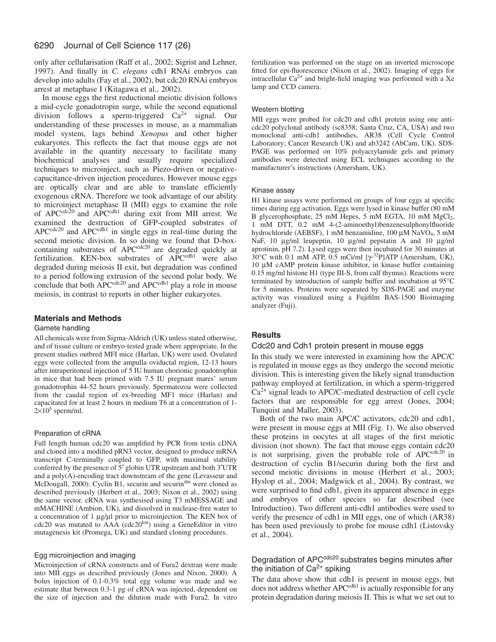#### 6290 Journal of Cell Science 117 (26)

only after cellularisation (Raff et al., 2002; Sigrist and Lehner, 1997). And finally in *C. elegans* cdh1 RNAi embryos can develop into adults (Fay et al., 2002), but cdc20 RNAi embryos arrest at metaphase I (Kitagawa et al., 2002).

In mouse eggs the first reductional meiotic division follows a mid-cycle gonadotropin surge, while the second equational division follows a sperm-triggered Ca2+ signal. Our understanding of these processes in mouse, as a mammalian model system, lags behind *Xenopus* and other higher eukaryotes. This reflects the fact that mouse eggs are not available in the quantity necessary to facilitate many biochemical analyses and usually require specialized techniques to microinject, such as Piezo-driven or negativecapacitance-driven injection procedures. However mouse eggs are optically clear and are able to translate efficiently exogenous cRNA. Therefore we took advantage of our ability to microinject metaphase II (MII) eggs to examine the role of APC $c^{cdc20}$  and APC $c^{cdh1}$  during exit from MII arrest. We examined the destruction of GFP-coupled substrates of  $APC^{cdc20}$  and  $APC^{cdh1}$  in single eggs in real-time during the second meiotic division. In so doing we found that D-boxcontaining substrates of APCcdc20 are degraded quickly at fertilization. KEN-box substrates of APC<sup>cdh1</sup> were also degraded during meiosis II exit, but degradation was confined to a period following extrusion of the second polar body. We conclude that both  $APC^{cdc20}$  and  $APC^{cdh1}$  play a role in mouse meiosis, in contrast to reports in other higher eukaryotes.

# **Materials and Methods**

#### Gamete handling

All chemicals were from Sigma-Aldrich (UK) unless stated otherwise, and of tissue culture or embryo-tested grade where appropriate. In the present studies outbred MFI mice (Harlan, UK) were used. Ovulated eggs were collected from the ampulla oviductal region, 12-13 hours after intraperitoneal injection of 5 IU human chorionic gonadotrophin in mice that had been primed with 7.5 IU pregnant mares' serum gonadotrophin 44-52 hours previously. Spermatozoa were collected from the caudal region of ex-breeding MF1 mice (Harlan) and capacitated for at least 2 hours in medium T6 at a concentration of 1-  $2\times10^5$  sperm/ml.

## Preparation of cRNA

Full length human cdc20 was amplified by PCR from testis cDNA and cloned into a modified pRN3 vector, designed to produce mRNA transcript C-terminally coupled to GFP, with maximal stability conferred by the presence of 5′ globin UTR upstream and both 3′UTR and a poly(A)-encoding tract downstream of the gene (Levasseur and McDougall, 2000). Cyclin B1, securin and securindm were cloned as described previously (Herbert et al., 2003; Nixon et al., 2002) using the same vector. cRNA was synthesised using T3 mMESSAGE and mMACHINE (Ambion, UK), and dissolved in nuclease-free water to a concentration of 1 µg/µl prior to microinjection. The KEN box of  $cdc20$  was mutated to  $AAA$  ( $cdc20<sup>km</sup>$ ) using a GeneEditor in vitro mutagenesis kit (Promega, UK) and standard cloning procedures.

## Egg microinjection and imaging

Microinjection of cRNA constructs and of Fura2 dextran were made into MII eggs as described previously (Jones and Nixon, 2000). A bolus injection of 0.1-0.3% total egg volume was made and we estimate that between 0.3-1 pg of cRNA was injected, dependent on the size of injection and the dilution made with Fura2. In vitro fertilization was performed on the stage on an inverted microscope fitted for epi-fluorescence (Nixon et al., 2002). Imaging of eggs for intracellular  $Ca^{2+}$  and bright-field imaging was performed with a Xe lamp and CCD camera.

#### Western blotting

MII eggs were probed for cdc20 and cdh1 protein using one anticdc20 polyclonal antibody (sc8358; Santa Cruz, CA, USA) and two monoclonal anti-cdh1 antibodies, AR38 (Cell Cycle Control Laboratory; Cancer Research UK) and ab3242 (AbCam, UK). SDS-PAGE was performed on 10% polyacrylamide gels and primary antibodies were detected using ECL techniques according to the manufacturer's instructions (Amersham, UK).

#### Kinase assay

H1 kinase assays were performed on groups of four eggs at specific times during egg activation. Eggs were lysed in kinase buffer (80 mM B glycerophosphate,  $25 \text{ mM Hepes}$ ,  $5 \text{ mM EGTA}$ ,  $10 \text{ mM } MgCl<sub>2</sub>$ , 1 mM DTT, 0.2 mM 4-(2-aminoethyl)benzenesulphonylfluoride hydrochloride (AEBSF), 1 mM benzamidine, 100 µM NaVO<sub>4</sub>, 5 mM NaF, 10 µg/ml leupeptin, 10 µg/ml pepstatin A and 10 µg/ml aprotinin, pH 7.2). Lysed eggs were then incubated for 30 minutes at  $30^{\circ}$ C with 0.1 mM ATP, 0.5 mCi/ml [ $\gamma$ -<sup>32</sup>P]ATP (Amersham, UK), 10 µM cAMP protein kinase inhibitor, in kinase buffer containing 0.15 mg/ml histone H1 (type III-S, from calf thymus). Reactions were terminated by introduction of sample buffer and incubation at 95°C for 5 minutes. Proteins were separated by SDS-PAGE and enzyme activity was visualized using a Fujifilm BAS-1500 Bioimaging analyzer (Fuji).

# **Results**

#### Cdc20 and Cdh1 protein present in mouse eggs

In this study we were interested in examining how the APC/C is regulated in mouse eggs as they undergo the second meiotic division. This is interesting given the likely signal transduction pathway employed at fertilization, in which a sperm-triggered  $Ca<sup>2+</sup>$  signal leads to APC/C-mediated destruction of cell cycle factors that are responsible for egg arrest (Jones, 2004; Tunquist and Maller, 2003).

Both of the two main APC/C activators, cdc20 and cdh1, were present in mouse eggs at MII (Fig. 1). We also observed these proteins in oocytes at all stages of the first meiotic division (not shown). The fact that mouse eggs contain cdc20 is not surprising, given the probable role of  $APC^{cdc20}$  in destruction of cyclin B1/securin during both the first and second meiotic divisions in mouse (Herbert et al., 2003; Hyslop et al., 2004; Madgwick et al., 2004). By contrast, we were surprised to find cdh1, given its apparent absence in eggs and embryos of other species so far described (see Introduction). Two different anti-cdh1 antibodies were used to verify the presence of cdh1 in MII eggs, one of which (AR38) has been used previously to probe for mouse cdh1 (Listovsky et al., 2004).

# Degradation of APC<sup>cdc20</sup> substrates begins minutes after the initiation of  $Ca^{2+}$  spiking

The data above show that cdh1 is present in mouse eggs, but does not address whether  $APC<sup>cdh1</sup>$  is actually responsible for any protein degradation during meiosis II. This is what we set out to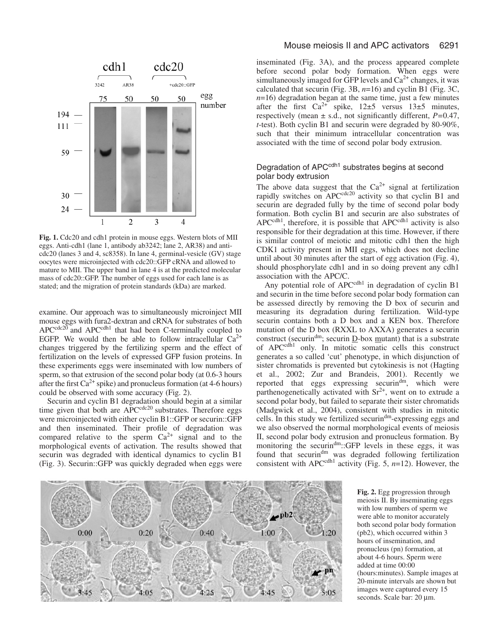

**Fig. 1.** Cdc20 and cdh1 protein in mouse eggs. Western blots of MII eggs. Anti-cdh1 (lane 1, antibody ab3242; lane 2, AR38) and anticdc20 (lanes 3 and 4, sc8358). In lane 4, germinal-vesicle (GV) stage oocytes were microinjected with cdc20::GFP cRNA and allowed to mature to MII. The upper band in lane 4 is at the predicted molecular mass of cdc20::GFP. The number of eggs used for each lane is as stated; and the migration of protein standards (kDa) are marked.

examine. Our approach was to simultaneously microinject MII mouse eggs with fura2-dextran and cRNA for substrates of both APC<sup>cdc20</sup> and APC<sup>cdh1</sup> that had been C-terminally coupled to EGFP. We would then be able to follow intracellular  $Ca^{2+}$ changes triggered by the fertilizing sperm and the effect of fertilization on the levels of expressed GFP fusion proteins. In these experiments eggs were inseminated with low numbers of sperm, so that extrusion of the second polar body (at 0.6-3 hours after the first  $Ca^{2+}$  spike) and pronucleus formation (at 4-6 hours) could be observed with some accuracy (Fig. 2).

Securin and cyclin B1 degradation should begin at a similar time given that both are  $\widehat{APC}^{cdc20}$  substrates. Therefore eggs were microinjected with either cyclin B1::GFP or securin::GFP and then inseminated. Their profile of degradation was compared relative to the sperm  $Ca^{2+}$  signal and to the morphological events of activation. The results showed that securin was degraded with identical dynamics to cyclin B1 (Fig. 3). Securin::GFP was quickly degraded when eggs were

# Mouse meiosis II and APC activators 6291

inseminated (Fig. 3A), and the process appeared complete before second polar body formation. When eggs were simultaneously imaged for GFP levels and  $Ca<sup>2+</sup>$  changes, it was calculated that securin (Fig. 3B, *n*=16) and cyclin B1 (Fig. 3C,  $n=16$ ) degradation began at the same time, just a few minutes after the first  $Ca^{2+}$  spike,  $12\pm5$  versus  $13\pm5$  minutes, respectively (mean ± s.d., not significantly different, *P=*0.47, *t*-test). Both cyclin B1 and securin were degraded by 80-90%, such that their minimum intracellular concentration was associated with the time of second polar body extrusion.

# Degradation of APC<sup>cdh1</sup> substrates begins at second polar body extrusion

The above data suggest that the  $Ca^{2+}$  signal at fertilization rapidly switches on APC<sup>cdc20</sup> activity so that cyclin B1 and securin are degraded fully by the time of second polar body formation. Both cyclin B1 and securin are also substrates of APC<sup>cdh1</sup>, therefore, it is possible that APC<sup>cdh1</sup> activity is also responsible for their degradation at this time. However, if there is similar control of meiotic and mitotic cdh1 then the high CDK1 activity present in MII eggs, which does not decline until about 30 minutes after the start of egg activation (Fig. 4), should phosphorylate cdh1 and in so doing prevent any cdh1 association with the APC/C.

Any potential role of APC<sup>cdh1</sup> in degradation of cyclin B1 and securin in the time before second polar body formation can be assessed directly by removing the D box of securin and measuring its degradation during fertilization. Wild-type securin contains both a D box and a KEN box. Therefore mutation of the D box (RXXL to AXXA) generates a securin construct (securin<sup>dm</sup>; securin  $\underline{D}$ -box mutant) that is a substrate of APC<sup>cdh1</sup> only. In mitotic somatic cells this construct generates a so called 'cut' phenotype, in which disjunction of sister chromatids is prevented but cytokinesis is not (Hagting et al., 2002; Zur and Brandeis, 2001). Recently we reported that eggs expressing securindm, which were parthenogenetically activated with  $Sr^{2+}$ , went on to extrude a second polar body, but failed to separate their sister chromatids (Madgwick et al., 2004), consistent with studies in mitotic cells. In this study we fertilized securindm-expressing eggs and we also observed the normal morphological events of meiosis II, second polar body extrusion and pronucleus formation. By monitoring the securindm::GFP levels in these eggs, it was found that securindm was degraded following fertilization consistent with APC<sup>cdh1</sup> activity (Fig. 5,  $n=12$ ). However, the



**Fig. 2.** Egg progression through meiosis II. By inseminating eggs with low numbers of sperm we were able to monitor accurately both second polar body formation (pb2), which occurred within 3 hours of insemination, and pronucleus (pn) formation, at about 4-6 hours. Sperm were added at time 00:00 (hours:minutes). Sample images at 20-minute intervals are shown but images were captured every 15 seconds. Scale bar: 20 µm.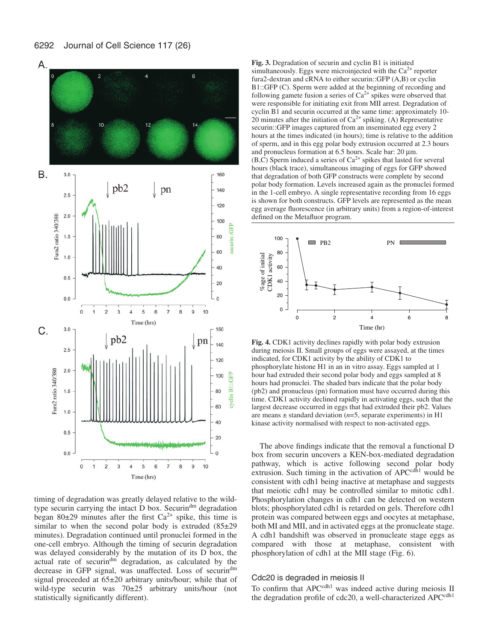

timing of degradation was greatly delayed relative to the wildtype securin carrying the intact D box. Securindm degradation began 80 $\pm$ 29 minutes after the first Ca<sup>2+</sup> spike, this time is similar to when the second polar body is extruded  $(85\pm29)$ minutes). Degradation continued until pronuclei formed in the one-cell embryo. Although the timing of securin degradation was delayed considerably by the mutation of its D box, the actual rate of securindm degradation, as calculated by the decrease in GFP signal, was unaffected. Loss of securindm signal proceeded at 65±20 arbitrary units/hour; while that of wild-type securin was 70±25 arbitrary units/hour (not statistically significantly different).

**Fig. 3.** Degradation of securin and cyclin B1 is initiated simultaneously. Eggs were microinjected with the  $Ca<sup>2+</sup>$  reporter fura2-dextran and cRNA to either securin::GFP (A,B) or cyclin B1::GFP (C). Sperm were added at the beginning of recording and following gamete fusion a series of  $Ca^{2+}$  spikes were observed that were responsible for initiating exit from MII arrest. Degradation of cyclin B1 and securin occurred at the same time: approximately 10- 20 minutes after the initiation of  $Ca^{2+}$  spiking. (A) Representative securin::GFP images captured from an inseminated egg every 2 hours at the times indicated (in hours); time is relative to the addition of sperm, and in this egg polar body extrusion occurred at 2.3 hours and pronucleus formation at 6.5 hours. Scale bar: 20  $\mu$ m.  $(B,C)$  Sperm induced a series of  $Ca<sup>2+</sup>$  spikes that lasted for several hours (black trace), simultaneous imaging of eggs for GFP showed that degradation of both GFP constructs were complete by second polar body formation. Levels increased again as the pronuclei formed in the 1-cell embryo. A single representative recording from 16 eggs is shown for both constructs. GFP levels are represented as the mean egg average fluorescence (in arbitrary units) from a region-of-interest defined on the Metafluor program.



**Fig. 4.** CDK1 activity declines rapidly with polar body extrusion during meiosis II. Small groups of eggs were assayed, at the times indicated, for CDK1 activity by the ability of CDK1 to phosphorylate histone H1 in an in vitro assay. Eggs sampled at 1 hour had extruded their second polar body and eggs sampled at 8 hours had pronuclei. The shaded bars indicate that the polar body (pb2) and pronucleus (pn) formation must have occurred during this time. CDK1 activity declined rapidly in activating eggs, such that the largest decrease occurred in eggs that had extruded their pb2. Values are means ± standard deviation (*n*=5, separate experiments) in H1 kinase activity normalised with respect to non-activated eggs.

The above findings indicate that the removal a functional D box from securin uncovers a KEN-box-mediated degradation pathway, which is active following second polar body extrusion. Such timing in the activation of  $APC^{cdh1}$  would be consistent with cdh1 being inactive at metaphase and suggests that meiotic cdh1 may be controlled similar to mitotic cdh1. Phosphorylation changes in cdh1 can be detected on western blots; phosphorylated cdh1 is retarded on gels. Therefore cdh1 protein was compared between eggs and oocytes at metaphase, both MI and MII, and in activated eggs at the pronucleate stage. A cdh1 bandshift was observed in pronucleate stage eggs as compared with those at metaphase, consistent with phosphorylation of cdh1 at the MII stage (Fig. 6).

# Cdc20 is degraded in meiosis II

To confirm that APC<sup>cdh1</sup> was indeed active during meiosis II the degradation profile of cdc20, a well-characterized APC<sup>cdh1</sup>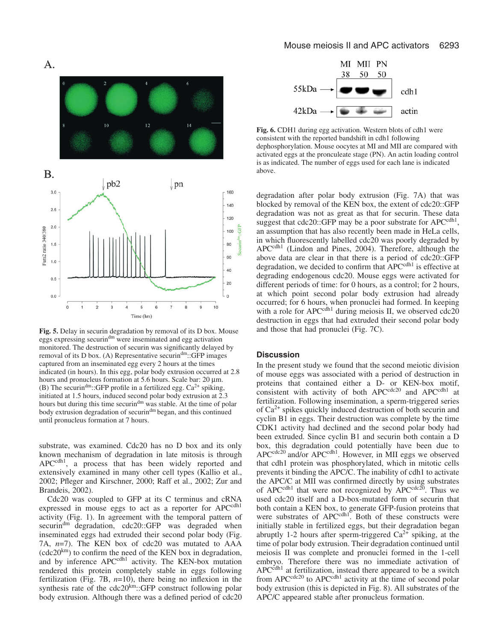

**Fig. 5.** Delay in securin degradation by removal of its D box. Mouse eggs expressing securin<sup>dm</sup> were inseminated and egg activation monitored. The destruction of securin was significantly delayed by removal of its D box. (A) Representative securindm::GFP images captured from an inseminated egg every 2 hours at the times indicated (in hours). In this egg, polar body extrusion occurred at 2.8 hours and pronucleus formation at 5.6 hours. Scale bar: 20  $\mu$ m. (B) The securin<sup>dm</sup>::GFP profile in a fertilized egg.  $Ca^{2+}$  spiking, initiated at 1.5 hours, induced second polar body extrusion at 2.3 hours but during this time securin<sup>dm</sup> was stable. At the time of polar body extrusion degradation of securin<sup>dm</sup> began, and this continued until pronucleus formation at 7 hours.

substrate, was examined. Cdc20 has no D box and its only known mechanism of degradation in late mitosis is through APC<sup>cdh1</sup>, a process that has been widely reported and extensively examined in many other cell types (Kallio et al., 2002; Pfleger and Kirschner, 2000; Raff et al., 2002; Zur and Brandeis, 2002).

Cdc20 was coupled to GFP at its C terminus and cRNA expressed in mouse eggs to act as a reporter for APC<sup>cdh1</sup> activity (Fig. 1). In agreement with the temporal pattern of securin<sup>dm</sup> degradation, cdc20::GFP was degraded when inseminated eggs had extruded their second polar body (Fig. 7A, *n*=7). The KEN box of cdc20 was mutated to AAA  $(cdc20<sup>km</sup>)$  to confirm the need of the KEN box in degradation, and by inference APCcdh1 activity. The KEN-box mutation rendered this protein completely stable in eggs following fertilization (Fig. 7B, *n*=10), there being no inflexion in the synthesis rate of the  $cdc20^{km}$ ::GFP construct following polar body extrusion. Although there was a defined period of cdc20



**Fig. 6.** CDH1 during egg activation. Western blots of cdh1 were consistent with the reported bandshift in cdh1 following dephosphorylation. Mouse oocytes at MI and MII are compared with activated eggs at the pronculeate stage (PN). An actin loading control is as indicated. The number of eggs used for each lane is indicated above.

degradation after polar body extrusion (Fig. 7A) that was blocked by removal of the KEN box, the extent of cdc20::GFP degradation was not as great as that for securin. These data suggest that  $cdc20::GFP$  may be a poor substrate for  $APC<sup>cdh1</sup>$ , an assumption that has also recently been made in HeLa cells, in which fluorescently labelled cdc20 was poorly degraded by APCcdh1 (Lindon and Pines, 2004). Therefore, although the above data are clear in that there is a period of cdc20::GFP degradation, we decided to confirm that APC<sup>cdh1</sup> is effective at degrading endogenous cdc20. Mouse eggs were activated for different periods of time: for 0 hours, as a control; for 2 hours, at which point second polar body extrusion had already occurred; for 6 hours, when pronuclei had formed. In keeping with a role for APC<sup>cdh1</sup> during meiosis II, we observed cdc20 destruction in eggs that had extruded their second polar body and those that had pronuclei (Fig. 7C).

#### **Discussion**

In the present study we found that the second meiotic division of mouse eggs was associated with a period of destruction in proteins that contained either a D- or KEN-box motif, consistent with activity of both  $APC^{cdc20}$  and  $APC^{cdh1}$  at fertilization. Following insemination, a sperm-triggered series of  $Ca<sup>2+</sup>$  spikes quickly induced destruction of both securin and cyclin B1 in eggs. Their destruction was complete by the time CDK1 activity had declined and the second polar body had been extruded. Since cyclin B1 and securin both contain a D box, this degradation could potentially have been due to APC<sup>cdc20</sup> and/or APC<sup>cdh1</sup>. However, in MII eggs we observed that cdh1 protein was phosphorylated, which in mitotic cells prevents it binding the APC/C. The inability of cdh1 to activate the APC/C at MII was confirmed directly by using substrates of APC<sup>cdh1</sup> that were not recognized by APC<sup>cdc20</sup>. Thus we used cdc20 itself and a D-box-mutated form of securin that both contain a KEN box, to generate GFP-fusion proteins that were substrates of APC<sup>cdh1</sup>. Both of these constructs were initially stable in fertilized eggs, but their degradation began abruptly 1-2 hours after sperm-triggered  $Ca^{2+}$  spiking, at the time of polar body extrusion. Their degradation continued until meiosis II was complete and pronuclei formed in the 1-cell embryo. Therefore there was no immediate activation of  $APC<sup>cdh1</sup>$  at fertilization, instead there appeared to be a switch from  $APC^{cdc20}$  to  $APC^{cdh1}$  activity at the time of second polar body extrusion (this is depicted in Fig. 8). All substrates of the APC/C appeared stable after pronucleus formation.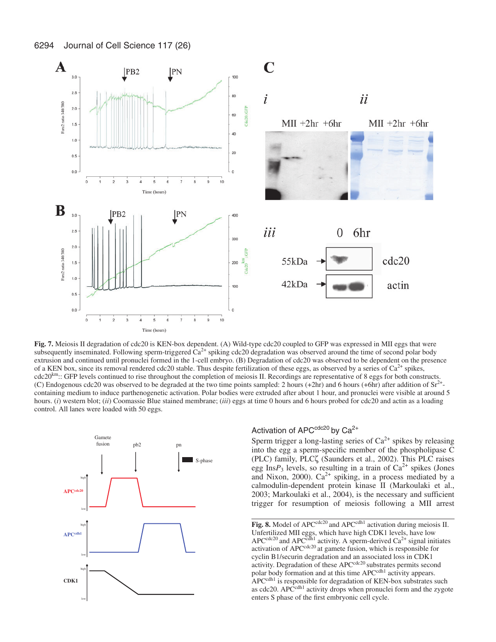

**Fig. 7.** Meiosis II degradation of cdc20 is KEN-box dependent. (A) Wild-type cdc20 coupled to GFP was expressed in MII eggs that were subsequently inseminated. Following sperm-triggered  $Ca<sup>2+</sup>$  spiking cdc20 degradation was observed around the time of second polar body extrusion and continued until pronuclei formed in the 1-cell embryo. (B) Degradation of cdc20 was observed to be dependent on the presence of a KEN box, since its removal rendered cdc20 stable. Thus despite fertilization of these eggs, as observed by a series of  $Ca^{2+}$  spikes,  $\text{cdc20}^{\text{km}}$ :: GFP levels continued to rise throughout the completion of meiosis II. Recordings are representative of 8 eggs for both constructs. (C) Endogenous cdc20 was observed to be degraded at the two time points sampled: 2 hours (+2hr) and 6 hours (+6hr) after addition of  $Sr^{2+}$ containing medium to induce parthenogenetic activation. Polar bodies were extruded after about 1 hour, and pronuclei were visible at around 5 hours. (*i*) western blot; (*ii*) Coomassie Blue stained membrane; (*iii*) eggs at time 0 hours and 6 hours probed for cdc20 and actin as a loading control. All lanes were loaded with 50 eggs.



# Activation of  $APC<sup>cdc20</sup>$  by  $Ca<sup>2+</sup>$

Sperm trigger a long-lasting series of  $Ca^{2+}$  spikes by releasing into the egg a sperm-specific member of the phospholipase C (PLC) family, PLCζ (Saunders et al., 2002). This PLC raises egg Ins $P_3$  levels, so resulting in a train of  $Ca^{2+}$  spikes (Jones and Nixon, 2000).  $Ca^{2+}$  spiking, in a process mediated by a calmodulin-dependent protein kinase II (Markoulaki et al., 2003; Markoulaki et al., 2004), is the necessary and sufficient trigger for resumption of meiosis following a MII arrest

Fig. 8. Model of APC<sup>cdc20</sup> and APC<sup>cdh1</sup> activation during meiosis II. Unfertilized MII eggs, which have high CDK1 levels, have low  $APC<sup>cdc20</sup>$  and  $APC<sup>cdh1</sup>$  activity. A sperm-derived  $Ca<sup>2+</sup>$  signal initiates activation of APC<sup>cdc20</sup> at gamete fusion, which is responsible for cyclin B1/securin degradation and an associated loss in CDK1 activity. Degradation of these APC<sup>cdc20</sup> substrates permits second polar body formation and at this time APCcdh1 activity appears. APC<sup>cdh1</sup> is responsible for degradation of KEN-box substrates such as cdc20. APC<sup>cdh1</sup> activity drops when pronuclei form and the zygote enters S phase of the first embryonic cell cycle.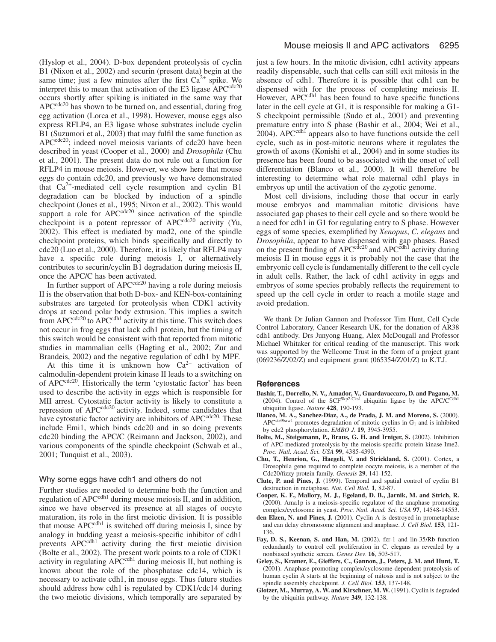(Hyslop et al., 2004). D-box dependent proteolysis of cyclin B1 (Nixon et al., 2002) and securin (present data) begin at the same time; just a few minutes after the first  $Ca^{2+}$  spike. We interpret this to mean that activation of the E3 ligase APC<sup>cdc20</sup> occurs shortly after spiking is initiated in the same way that  $APC^{cdc20}$  has shown to be turned on, and essential, during frog egg activation (Lorca et al., 1998). However, mouse eggs also express RFLP4, an E3 ligase whose substrates include cyclin B1 (Suzumori et al., 2003) that may fulfil the same function as APC<sup>cdc20</sup>; indeed novel meiosis variants of cdc20 have been described in yeast (Cooper et al., 2000) and *Drosophila* (Chu et al., 2001). The present data do not rule out a function for RFLP4 in mouse meiosis. However, we show here that mouse eggs do contain cdc20, and previously we have demonstrated that  $Ca^{2+}$ -mediated cell cycle resumption and cyclin B1 degradation can be blocked by induction of a spindle checkpoint (Jones et al., 1995; Nixon et al., 2002). This would support a role for  $APC^{cdc20}$  since activation of the spindle checkpoint is a potent repressor of APC<sup>cdc20</sup> activity (Yu, 2002). This effect is mediated by mad2, one of the spindle checkpoint proteins, which binds specifically and directly to cdc20 (Luo et al., 2000). Therefore, it is likely that RFLP4 may have a specific role during meiosis I, or alternatively contributes to securin/cyclin B1 degradation during meiosis II, once the APC/C has been activated.

In further support of  $APC^{cdc20}$  having a role during meiosis II is the observation that both D-box- and KEN-box-containing substrates are targeted for proteolysis when CDK1 activity drops at second polar body extrusion. This implies a switch from APC<sup>cdc20</sup> to APC<sup>cdh1</sup> activity at this time. This switch does not occur in frog eggs that lack cdh1 protein, but the timing of this switch would be consistent with that reported from mitotic studies in mammalian cells (Hagting et al., 2002; Zur and Brandeis, 2002) and the negative regulation of cdh1 by MPF.

At this time it is unknown how  $Ca^{2+}$  activation of calmodulin-dependent protein kinase II leads to a switching on of APC<sup>cdc20</sup>. Historically the term 'cytostatic factor' has been used to describe the activity in eggs which is responsible for MII arrest. Cytostatic factor activity is likely to constitute a repression of APC<sup>cdc20</sup> activity. Indeed, some candidates that have cytostatic factor activity are inhibitors of APC<sup>cdc20</sup>. These include Emi1, which binds cdc20 and in so doing prevents cdc20 binding the APC/C (Reimann and Jackson, 2002), and various components of the spindle checkpoint (Schwab et al., 2001; Tunquist et al., 2003).

#### Why some eggs have cdh1 and others do not

Further studies are needed to determine both the function and regulation of APC<sup>cdh1</sup> during mouse meiosis II, and in addition, since we have observed its presence at all stages of oocyte maturation, its role in the first meiotic division. It is possible that mouse  $APC<sup>cdh1</sup>$  is switched off during meiosis I, since by analogy in budding yeast a meiosis-specific inhibitor of cdh1 prevents APC<sup>cdh1</sup> activity during the first meiotic division (Bolte et al., 2002). The present work points to a role of CDK1 activity in regulating APC<sup>cdh1</sup> during meiosis II, but nothing is known about the role of the phosphatase cdc14, which is necessary to activate cdh1, in mouse eggs. Thus future studies should address how cdh1 is regulated by CDK1/cdc14 during the two meiotic divisions, which temporally are separated by

just a few hours. In the mitotic division, cdh1 activity appears readily dispensable, such that cells can still exit mitosis in the absence of cdh1. Therefore it is possible that cdh1 can be dispensed with for the process of completing meiosis II. However, APCc<sup>dh1</sup> has been found to have specific functions later in the cell cycle at G1, it is responsible for making a G1- S checkpoint permissible (Sudo et al., 2001) and preventing premature entry into S phase (Bashir et al., 2004; Wei et al.,  $2004$ ). APC<sup>cdh1</sup> appears also to have functions outside the cell cycle, such as in post-mitotic neurons where it regulates the growth of axons (Konishi et al., 2004) and in some studies its presence has been found to be associated with the onset of cell differentiation (Blanco et al., 2000). It will therefore be interesting to determine what role maternal cdh1 plays in embryos up until the activation of the zygotic genome.

Most cell divisions, including those that occur in early mouse embryos and mammalian mitotic divisions have associated gap phases to their cell cycle and so there would be a need for cdh1 in G1 for regulating entry to S phase. However eggs of some species, exemplified by *Xenopus*, *C. elegans* and *Drosophila*, appear to have dispensed with gap phases. Based on the present finding of APC<sup>cdc20</sup> and APC<sup>cdh1</sup> activity during meiosis II in mouse eggs it is probably not the case that the embryonic cell cycle is fundamentally different to the cell cycle in adult cells. Rather, the lack of cdh1 activity in eggs and embryos of some species probably reflects the requirement to speed up the cell cycle in order to reach a motile stage and avoid predation.

We thank Dr Julian Gannon and Professor Tim Hunt, Cell Cycle Control Laboratory, Cancer Research UK, for the donation of AR38 cdh1 antibody. Drs Junyong Huang, Alex McDougall and Professor Michael Whitaker for critical reading of the manuscript. This work was supported by the Wellcome Trust in the form of a project grant (069236/Z/02/Z) and equipment grant (065354/Z/01/Z) to K.T.J.

#### **References**

- **Bashir, T., Dorrello, N. V., Amador, V., Guardavaccaro, D. and Pagano, M.** (2004). Control of the SCF<sup>Skp2-Cks1</sup> ubiquitin ligase by the APC/C<sup>Cdh1</sup> ubiquitin ligase. *Nature* **428**, 190-193.
- **Blanco, M. A., Sanchez-Diaz, A., de Prada, J. M. and Moreno, S.** (2000).  $APC<sup>ste9/srwl</sup>$  promotes degradation of mitotic cyclins in  $G<sub>1</sub>$  and is inhibited by cdc2 phosphorylation. *EMBO J.* **19**, 3945-3955.
- **Bolte, M., Steigemann, P., Braus, G. H. and Irniger, S.** (2002). Inhibition of APC-mediated proteolysis by the meiosis-specific protein kinase Ime2. *Proc. Natl. Acad. Sci. USA* **99**, 4385-4390.
- **Chu, T., Henrion, G., Haegeli, V. and Strickland, S.** (2001). Cortex, a Drosophila gene required to complete oocyte meiosis, is a member of the Cdc20/fizzy protein family. *Genesis* **29**, 141-152.
- **Clute, P. and Pines, J.** (1999). Temporal and spatial control of cyclin B1 destruction in metaphase. *Nat. Cell Biol.* **1**, 82-87.
- **Cooper, K. F., Mallory, M. J., Egeland, D. B., Jarnik, M. and Strich, R.** (2000). Ama1p is a meiosis-specific regulator of the anaphase promoting complex/cyclosome in yeast. *Proc. Natl. Acad. Sci. USA* **97**, 14548-14553.
- **den Elzen, N. and Pines, J.** (2001). Cyclin A is destroyed in prometaphase and can delay chromosome alignment and anaphase. *J. Cell Biol.* **153**, 121- 136.
- **Fay, D. S., Keenan, S. and Han, M.** (2002). fzr-1 and lin-35/Rb function redundantly to control cell proliferation in C. elegans as revealed by a nonbiased synthetic screen. *Genes Dev.* **16**, 503-517.
- **Geley, S., Kramer, E., Gieffers, C., Gannon, J., Peters, J. M. and Hunt, T.** (2001). Anaphase-promoting complex/cyclosome-dependent proteolysis of human cyclin A starts at the beginning of mitosis and is not subject to the spindle assembly checkpoint. *J. Cell Biol.* **153**, 137-148.
- **Glotzer, M., Murray, A. W. and Kirschner, M. W.** (1991). Cyclin is degraded by the ubiquitin pathway. *Nature* **349**, 132-138.